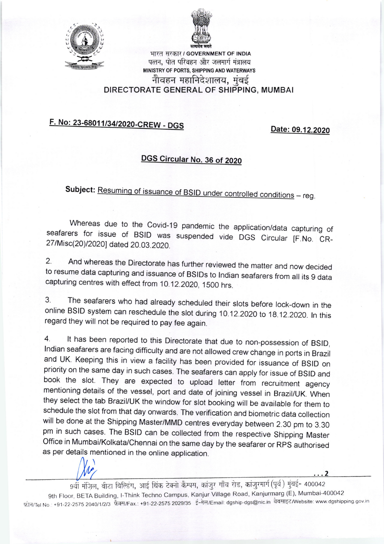



भारत सरकार / GOVERNMENT OF INDIA पत्तन, पोत परिवहन और जलमार्ग मंत्रालय MINISTRY OF PORTS, SHIPPING AND WATERWAYS नौवहन महानिदेशालय, मंबई DIRECTORATE GENERAL OF SHIPPING, MUMBAI

## F. No: 23-68011/34/2020-CREW - DGS

Date:09.12.2020

## DGS Circular No. 36 of 2020

Subject: Resuming of issuance of BSID under controlled conditions - reg.

Whereas due to the Covid-19 pandemic the application/data capturing of seafarers for issue of BSID was suspended vide DGS Circular [F.No. CR- 27/Misc(20)/2020] dated 20.03.2020.

2' And whereas the Directorate has further reviewed the matter and now decided to resume data capturing and issuance of BSIDs to lndian seafarers from all its g data capturing centres with effect from 10.12.2020, 1500 hrs.

3. The seafarers who had already scheduled their slots before lock-down in the online BSID system can reschedule the slot during 10.12.2020 to 18.12.2020. In this regard they will not be required to pay fee again.

4. It has been reported to this Directorate that due to non-possession of BSID, Indian seafarers are facing difficulty and are not allowed crew change in ports in Brazil and UK. Keeping this in view a facility has been provided for issuance of BSID on priority on the same day in such cases. The seafarers can apply for issue of BSID and book the slot. They are expected to upload letter from mentioning details of the vessel, port and date of joining vessel in Brazil/UK. When they select the tab Brazil/UK the window for slot booking will be available for them to schedule the slot from that day onwards. The verification and biometric data collection will be done at the Shipping Master/MMD centres everyday between 2.30 pm to 3.30 pm in such cases. The BSID can be collected from the respective Shipping Master Office in Mumbai/Kolkata/Chennai on the same day by the seafarer or RpS authorised as per details mentioned in the online application.

9th Floor, BETA Building, I-Think Techno Campus, Kanjur Village Road, Kanjurmarg (E), Mumbai-400042 फ़ोन/Tel No.: +91-22-2575 2040/1/2/3 फेक्स/Fax.: +91-22-2575 2029/35 ई-मेल/Email: dgship-dgs@nic.in वेबसाइट/Website: www.dgshipping.gov.in 9वीं मंज़िल, बीटा बिल्डिंग, आई थिंक टेक्नो कैम्पस, कांजुर गाँव रोड, कांजुरमार्ग(पूर्व) मुंबई- 400042